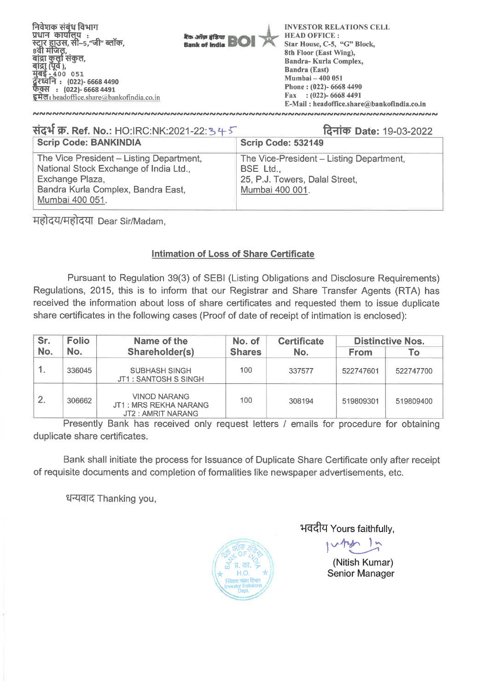

| संदर्भ क्र. Ref. No.: HO:IRC:NK:2021-22:34-5                                                                                                                   | दिनांक Date: 19-03-2022                                                                                    |  |  |  |  |
|----------------------------------------------------------------------------------------------------------------------------------------------------------------|------------------------------------------------------------------------------------------------------------|--|--|--|--|
| <b>Scrip Code: BANKINDIA</b>                                                                                                                                   | <b>Scrip Code: 532149</b>                                                                                  |  |  |  |  |
| The Vice President - Listing Department,<br>National Stock Exchange of India Ltd.,<br>Exchange Plaza,<br>Bandra Kurla Complex, Bandra East,<br>Mumbai 400 051. | The Vice-President - Listing Department,<br>BSE Ltd.,<br>25, P.J. Towers, Dalal Street,<br>Mumbai 400 001. |  |  |  |  |

महोदय/महोदया Dear Sir/Madam,

## **Intimation of Loss of Share Certificate**

Pursuant to Regulation 39(3) of SEBI (Listing Obligations and Disclosure Requirements) Regulations, 2015, this is to inform that our Registrar and Share Transfer Agents (RTA) has received the information about loss of share certificates and requested them to issue duplicate share certificates in the following cases (Proof of date of receipt of intimation is enclosed):

| Sr.              | <b>Folio</b> | Name of the                                                       | No. of        | <b>Certificate</b> | <b>Distinctive Nos.</b> |           |
|------------------|--------------|-------------------------------------------------------------------|---------------|--------------------|-------------------------|-----------|
| No.              | No.          | Shareholder(s)                                                    | <b>Shares</b> | No.                | <b>From</b>             | Fо        |
|                  | 336045       | <b>SUBHASH SINGH</b><br>JT1 : SANTOSH S SINGH                     | 100           | 337577             | 522747601               | 522747700 |
| $\overline{2}$ . | 306662       | <b>VINOD NARANG</b><br>JT1: MRS REKHA NARANG<br>JT2: AMRIT NARANG | 100           | 308194             | 519809301               | 519809400 |

Presently Bank has received only request letters / emails for procedure for obtaining duplicate share certificates.

Bank shall initiate the process for Issuance of Duplicate Share Certificate only after receipt of requisite documents and completion of formalities like newspaper advertisements, etc.

धन्यवाद Thanking you,



## भवदीय Yours faithfully.

uten 1 m

(Nitish Kumar) Senior Manager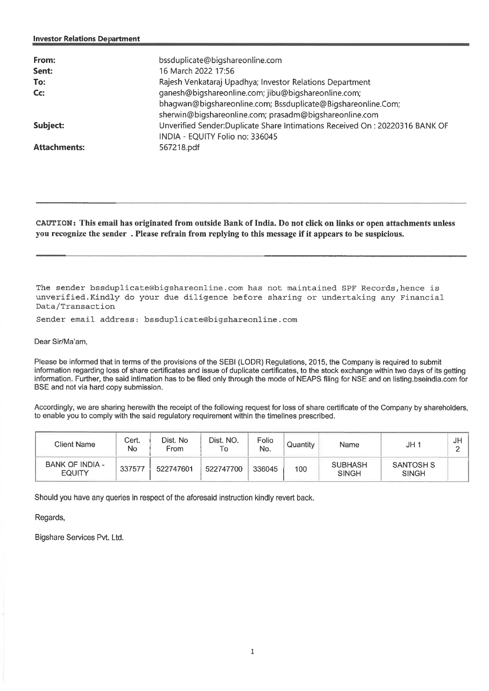| From:<br>Sent:<br>To:<br>$C_{\mathbb{C}}$ | bssduplicate@bigshareonline.com<br>16 March 2022 17:56<br>Rajesh Venkataraj Upadhya; Investor Relations Department<br>ganesh@bigshareonline.com; jibu@bigshareonline.com;<br>bhagwan@bigshareonline.com; Bssduplicate@Bigshareonline.Com;<br>sherwin@bigshareonline.com; prasadm@bigshareonline.com |
|-------------------------------------------|-----------------------------------------------------------------------------------------------------------------------------------------------------------------------------------------------------------------------------------------------------------------------------------------------------|
| Subject:                                  | Unverified Sender: Duplicate Share Intimations Received On: 20220316 BANK OF<br>INDIA - EQUITY Folio no: 336045                                                                                                                                                                                     |
| <b>Attachments:</b>                       | 567218.pdf                                                                                                                                                                                                                                                                                          |

**CAUTION: This email has originated from outside Bank of India. Do not click on links or open attachments unless you recognize the sender . Please refrain from replying to this message if it appears to be suspicious.** 

The sender bssduplicate@bigshareonline.com has not maintained SPF Records,hence is unverified.Kindly do your due diligence before sharing or undertaking any Financial Data/Transaction

Sender email address: bssduplicate@bigshareonline.com

Dear Sir/Ma'am,

Please be informed that in terms of the provisions of the SEBI (LODR) Regulations, 2015, the Company is required to submit information regarding loss of share certificates and issue of duplicate certificates, to the stock exchange within two days of its getting information. Further, the said intimation has to be filed only through the mode of NEAPS filing for NSE and on listing bseindia.com for BSE and not via hard copy submission.

Accordingly, we are sharing herewith the receipt of the following request for loss of share certificate of the Company by shareholders, to enable you to comply with the said regulatory requirement within the timelines prescribed.

| Client Name                             | Cert.<br>No | Dist. No<br>From | Dist. NO.<br>To | Folio<br>No. | Quantity | Name                           | JH <sub>1</sub>                  | J⊬ |
|-----------------------------------------|-------------|------------------|-----------------|--------------|----------|--------------------------------|----------------------------------|----|
| <b>BANK OF INDIA -</b><br><b>EQUITY</b> | 337577      | 522747601        | 522747700       | 336045       | 100      | <b>SUBHASH</b><br><b>SINGH</b> | <b>SANTOSH S</b><br><b>SINGH</b> |    |

Should you have any queries in respect of the aforesaid instruction kindly revert back.

Regards,

Bigshare Services Pvt. Ltd.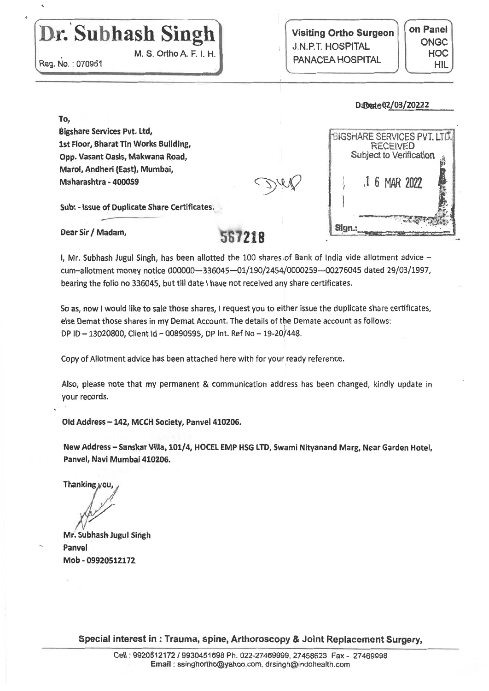## Dr. Subhash Singh

**M. S. Ortho A. F. I. H.** 

**Reg. No. 070951** 

**Visiting Ortho Surgeon**  J.N.P.T. HOSPITAL PANACEA HOSPITAL

Sian.

**on Panel ONGC HOC**  HIL

## **D4jteQ2/03/20222**

CiSriARE SERVICES **PVT. L**TC. **RECEIVED** Subject to Verification

6 MAR 2022

**To, Bigshare Services. Pvt. Ltd, 1st Floor, Bharat Tin Works Building, Opp. Vasant Oasis, Makwana Road, Marol, Andheri (East), Mumbai, Maharashtra - 400059** 

**Sub: - Issue of Duplicate Share Certificates.** 

Dear Sir / Madam,

I, **Mr. Subhash Jugul Singh, has been allotted the** 100 shares,of Bank of India vide allotment advice cum—allotment money notice 000000-336045-01/190/2454/0000259-00276045 dated 29/03/1997, **bearing the folio no 336045, but till date I have not received any share certificates.** 

**So as, now I would like to sale those shares, I request you to either issue the duplicate share certificates, else Demat those shares in my** Demat Account. The details of the Demate account as follows: **DP ID — 13020800, Client Id — 00890595, DP Int. Ref** No — 19-20/448.

Copy of Allotment **advice has been attached here with for your ready reference.** 

**Also, please note that my permanent & communication address has been changed, kindly update** in your **records.** 

**Old Address —142, MCCH Society, Panvel 410206.** 

**New Address — Sanskar Villa, 101/4, HOCEL EMP HSG LTD, Swami Nityanand Marg, Near** Garden **Hotel, Panvel, Navi Mumbai 410206.** 

Thanking you,

**Mr. Subhash Jugul Singh Panvel**  Mob - **09920512172** 

**Special interest in : Trauma, spine, Arthoroscopy & Joint Replacement Surgery,**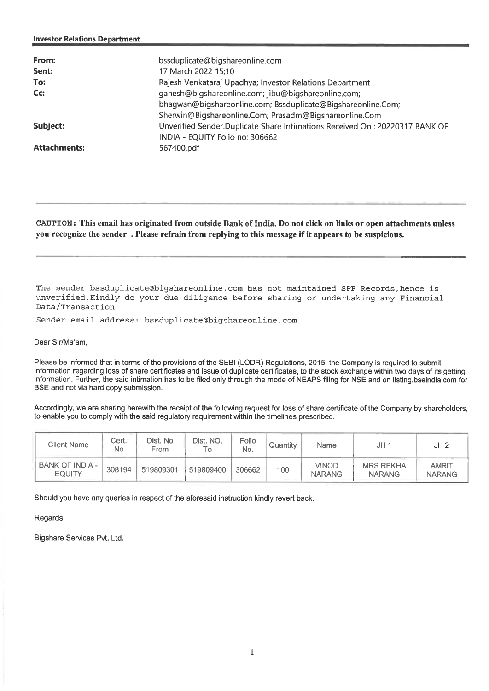| From:<br>Sent:<br>To:<br>$Cc$ : | bssduplicate@bigshareonline.com<br>17 March 2022 15:10<br>Rajesh Venkataraj Upadhya; Investor Relations Department<br>ganesh@bigshareonline.com; jibu@bigshareonline.com;<br>bhagwan@bigshareonline.com; Bssduplicate@Bigshareonline.Com;<br>Sherwin@Bigshareonline.Com; Prasadm@Bigshareonline.Com |
|---------------------------------|-----------------------------------------------------------------------------------------------------------------------------------------------------------------------------------------------------------------------------------------------------------------------------------------------------|
| Subject:                        | Unverified Sender:Duplicate Share Intimations Received On: 20220317 BANK OF<br>INDIA - EQUITY Folio no: 306662                                                                                                                                                                                      |
| <b>Attachments:</b>             | 567400.pdf                                                                                                                                                                                                                                                                                          |

**CAUTION: This email has originated from outside Bank of India. Do not click on links or open attachments unless you recognize the sender . Please refrain from replying to this message if it appears to be suspicious.** 

The sender bssduplicate@bigshareonline.com has not maintained SPF Records,hence is unverified.Kindly do your due diligence before sharing or undertaking any Financial Data/Transaction

Sender email address: bssduplicate@bigshareonline.com

Dear Sir/Ma'am,

Please be informed that in terms of the provisions of the SEBI (LODR) Regulations, 2015, the Company is required to submit information regarding loss of share certificates and issue of duplicate certificates, to the stock exchange within two days of its getting information. Further, the said intimation has to be filed only through the mode of NEAPS filing for NSE and on listing.bseindia.comfor BSE and not via hard copy submission.

Accordingly, we are sharing herewith the receipt of the following request for loss of share certificate of the Company by shareholders, to enable you to comply with the said regulatory requirement within the timelines prescribed.

| Client Name                             | Cert.<br>No | Dist. No<br>From | Dist. NO.<br>Гο | Folio<br>No. | Quantity | Name                   | JH 1                              | JH <sub>2</sub>               |
|-----------------------------------------|-------------|------------------|-----------------|--------------|----------|------------------------|-----------------------------------|-------------------------------|
| <b>BANK OF INDIA -</b><br><b>EQUITY</b> | 308194      | 519809301        | 519809400       | 306662       | 100      | VINOD<br><b>NARANG</b> | <b>MRS REKHA</b><br><b>NARANG</b> | <b>AMRIT</b><br><b>NARANG</b> |

Should you have any queries in respect of the aforesaid instruction kindly revert back.

Regards,

Bigshare Services Pvt. Ltd.